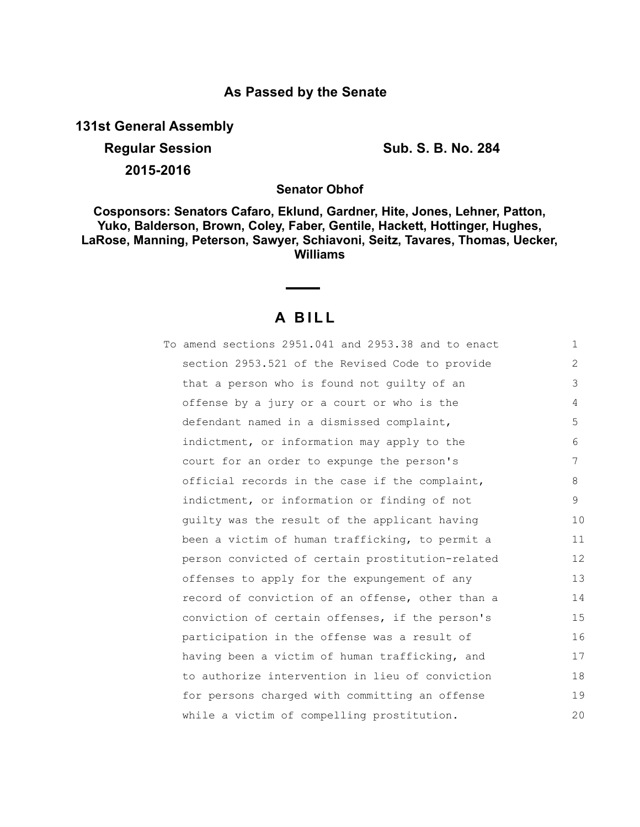## **As Passed by the Senate**

**131st General Assembly**

**Regular Session Sub. S. B. No. 284 2015-2016**

**Senator Obhof**

**Cosponsors: Senators Cafaro, Eklund, Gardner, Hite, Jones, Lehner, Patton, Yuko, Balderson, Brown, Coley, Faber, Gentile, Hackett, Hottinger, Hughes, LaRose, Manning, Peterson, Sawyer, Schiavoni, Seitz, Tavares, Thomas, Uecker, Williams**

# **A B I L L**

| To amend sections 2951.041 and 2953.38 and to enact | $\mathbf 1$ |
|-----------------------------------------------------|-------------|
| section 2953.521 of the Revised Code to provide     | 2           |
| that a person who is found not guilty of an         | 3           |
| offense by a jury or a court or who is the          | 4           |
| defendant named in a dismissed complaint,           | 5           |
| indictment, or information may apply to the         | 6           |
| court for an order to expunge the person's          | 7           |
| official records in the case if the complaint,      | 8           |
| indictment, or information or finding of not        | 9           |
| quilty was the result of the applicant having       | 10          |
| been a victim of human trafficking, to permit a     | 11          |
| person convicted of certain prostitution-related    | 12          |
| offenses to apply for the expungement of any        | 13          |
| record of conviction of an offense, other than a    | 14          |
| conviction of certain offenses, if the person's     | 15          |
| participation in the offense was a result of        | 16          |
| having been a victim of human trafficking, and      | 17          |
| to authorize intervention in lieu of conviction     | 18          |
| for persons charged with committing an offense      | 19          |
| while a victim of compelling prostitution.          | 20          |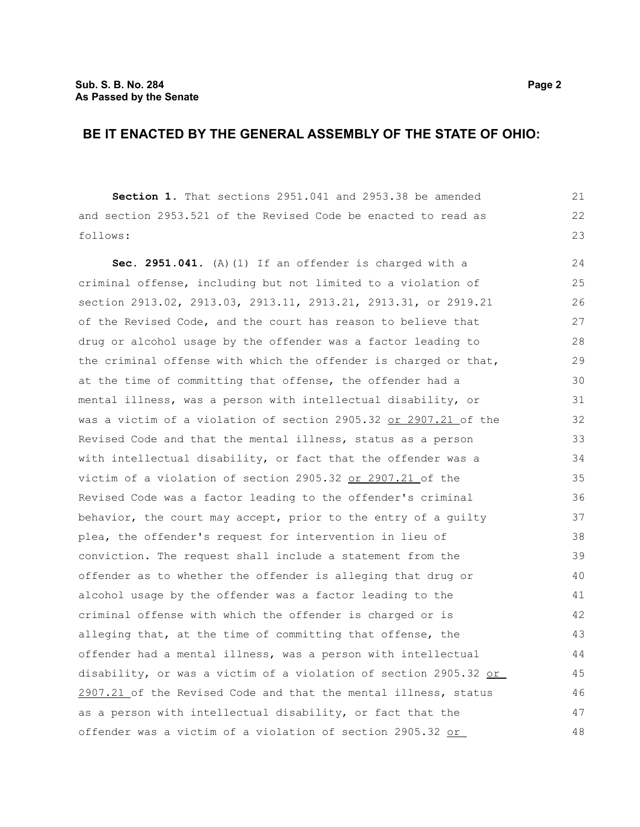### **BE IT ENACTED BY THE GENERAL ASSEMBLY OF THE STATE OF OHIO:**

**Section 1.** That sections 2951.041 and 2953.38 be amended and section 2953.521 of the Revised Code be enacted to read as follows: 21 22 23

**Sec. 2951.041.** (A)(1) If an offender is charged with a criminal offense, including but not limited to a violation of section 2913.02, 2913.03, 2913.11, 2913.21, 2913.31, or 2919.21 of the Revised Code, and the court has reason to believe that drug or alcohol usage by the offender was a factor leading to the criminal offense with which the offender is charged or that, at the time of committing that offense, the offender had a mental illness, was a person with intellectual disability, or was a victim of a violation of section 2905.32 or 2907.21 of the Revised Code and that the mental illness, status as a person with intellectual disability, or fact that the offender was a victim of a violation of section 2905.32 or 2907.21 of the Revised Code was a factor leading to the offender's criminal behavior, the court may accept, prior to the entry of a guilty plea, the offender's request for intervention in lieu of conviction. The request shall include a statement from the offender as to whether the offender is alleging that drug or alcohol usage by the offender was a factor leading to the criminal offense with which the offender is charged or is alleging that, at the time of committing that offense, the offender had a mental illness, was a person with intellectual disability, or was a victim of a violation of section 2905.32 or 2907.21 of the Revised Code and that the mental illness, status as a person with intellectual disability, or fact that the offender was a victim of a violation of section 2905.32 or 24 25  $26$ 27 28 29 30 31 32 33 34 35 36 37 38 39 40 41 42 43 44 45 46 47 48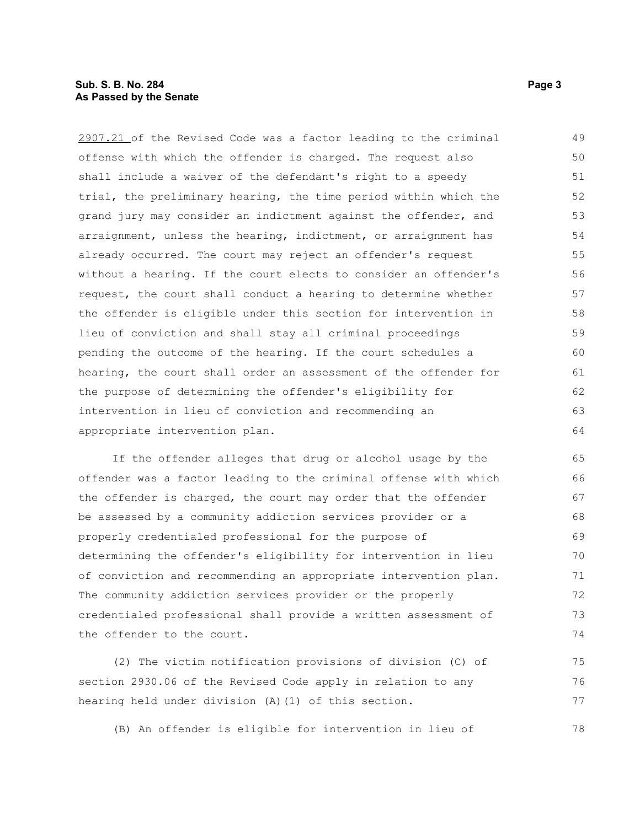2907.21 of the Revised Code was a factor leading to the criminal offense with which the offender is charged. The request also shall include a waiver of the defendant's right to a speedy trial, the preliminary hearing, the time period within which the grand jury may consider an indictment against the offender, and arraignment, unless the hearing, indictment, or arraignment has already occurred. The court may reject an offender's request without a hearing. If the court elects to consider an offender's request, the court shall conduct a hearing to determine whether the offender is eligible under this section for intervention in lieu of conviction and shall stay all criminal proceedings pending the outcome of the hearing. If the court schedules a hearing, the court shall order an assessment of the offender for the purpose of determining the offender's eligibility for intervention in lieu of conviction and recommending an appropriate intervention plan. 49 50 51 52 53 54 55 56 57 58 59 60 61 62 63 64

If the offender alleges that drug or alcohol usage by the offender was a factor leading to the criminal offense with which the offender is charged, the court may order that the offender be assessed by a community addiction services provider or a properly credentialed professional for the purpose of determining the offender's eligibility for intervention in lieu of conviction and recommending an appropriate intervention plan. The community addiction services provider or the properly credentialed professional shall provide a written assessment of the offender to the court. 65 66 67 68 69 70 71 72 73 74

(2) The victim notification provisions of division (C) of section 2930.06 of the Revised Code apply in relation to any hearing held under division (A)(1) of this section. 75 76 77

(B) An offender is eligible for intervention in lieu of

78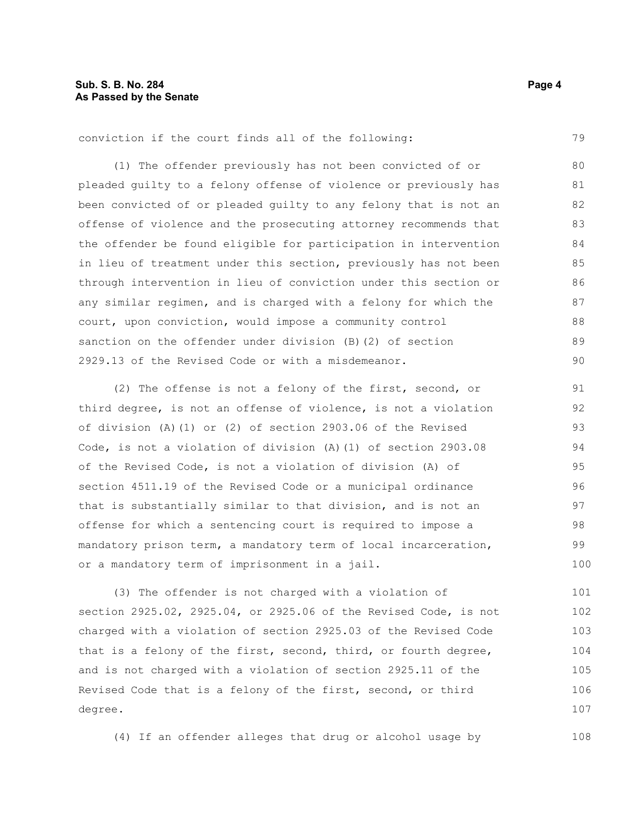conviction if the court finds all of the following:

(1) The offender previously has not been convicted of or pleaded guilty to a felony offense of violence or previously has been convicted of or pleaded guilty to any felony that is not an offense of violence and the prosecuting attorney recommends that the offender be found eligible for participation in intervention in lieu of treatment under this section, previously has not been through intervention in lieu of conviction under this section or any similar regimen, and is charged with a felony for which the court, upon conviction, would impose a community control sanction on the offender under division (B)(2) of section 2929.13 of the Revised Code or with a misdemeanor. 80 81 82 83 84 85 86 87 88 89 90

(2) The offense is not a felony of the first, second, or third degree, is not an offense of violence, is not a violation of division (A)(1) or (2) of section 2903.06 of the Revised Code, is not a violation of division (A)(1) of section 2903.08 of the Revised Code, is not a violation of division (A) of section 4511.19 of the Revised Code or a municipal ordinance that is substantially similar to that division, and is not an offense for which a sentencing court is required to impose a mandatory prison term, a mandatory term of local incarceration, or a mandatory term of imprisonment in a jail. 91 92 93 94 95 96 97 98 99 100

(3) The offender is not charged with a violation of section 2925.02, 2925.04, or 2925.06 of the Revised Code, is not charged with a violation of section 2925.03 of the Revised Code that is a felony of the first, second, third, or fourth degree, and is not charged with a violation of section 2925.11 of the Revised Code that is a felony of the first, second, or third degree. 101 102 103 104 105 106 107

(4) If an offender alleges that drug or alcohol usage by

79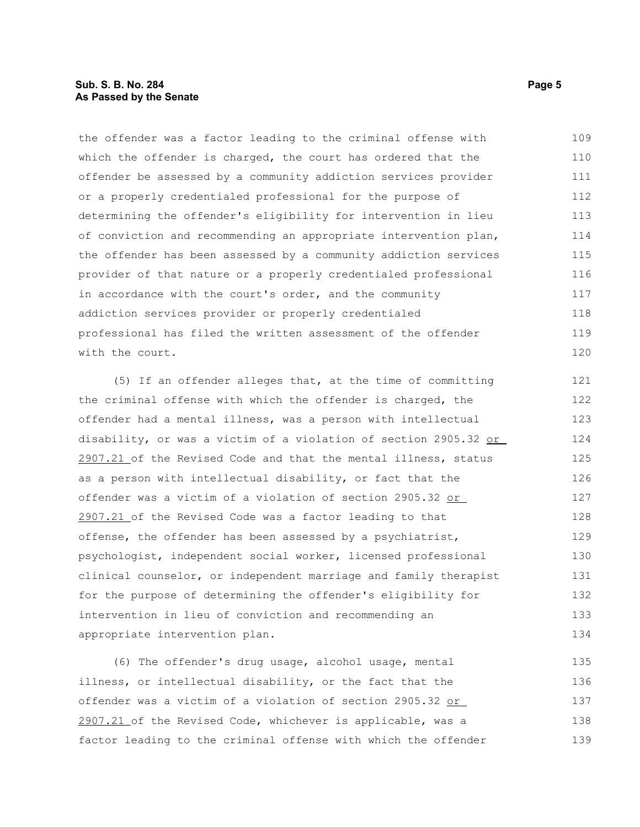#### **Sub. S. B. No. 284 Page 5 As Passed by the Senate**

the offender was a factor leading to the criminal offense with which the offender is charged, the court has ordered that the offender be assessed by a community addiction services provider or a properly credentialed professional for the purpose of determining the offender's eligibility for intervention in lieu of conviction and recommending an appropriate intervention plan, the offender has been assessed by a community addiction services provider of that nature or a properly credentialed professional in accordance with the court's order, and the community addiction services provider or properly credentialed professional has filed the written assessment of the offender with the court. 109 110 111 112 113 114 115 116 117 118 119 120

(5) If an offender alleges that, at the time of committing the criminal offense with which the offender is charged, the offender had a mental illness, was a person with intellectual disability, or was a victim of a violation of section 2905.32 or 2907.21 of the Revised Code and that the mental illness, status as a person with intellectual disability, or fact that the offender was a victim of a violation of section 2905.32 or 2907.21 of the Revised Code was a factor leading to that offense, the offender has been assessed by a psychiatrist, psychologist, independent social worker, licensed professional clinical counselor, or independent marriage and family therapist for the purpose of determining the offender's eligibility for intervention in lieu of conviction and recommending an appropriate intervention plan. 121 122 123 124 125 126 127 128 129 130 131 132 133 134

(6) The offender's drug usage, alcohol usage, mental illness, or intellectual disability, or the fact that the offender was a victim of a violation of section 2905.32 or 2907.21 of the Revised Code, whichever is applicable, was a factor leading to the criminal offense with which the offender 135 136 137 138 139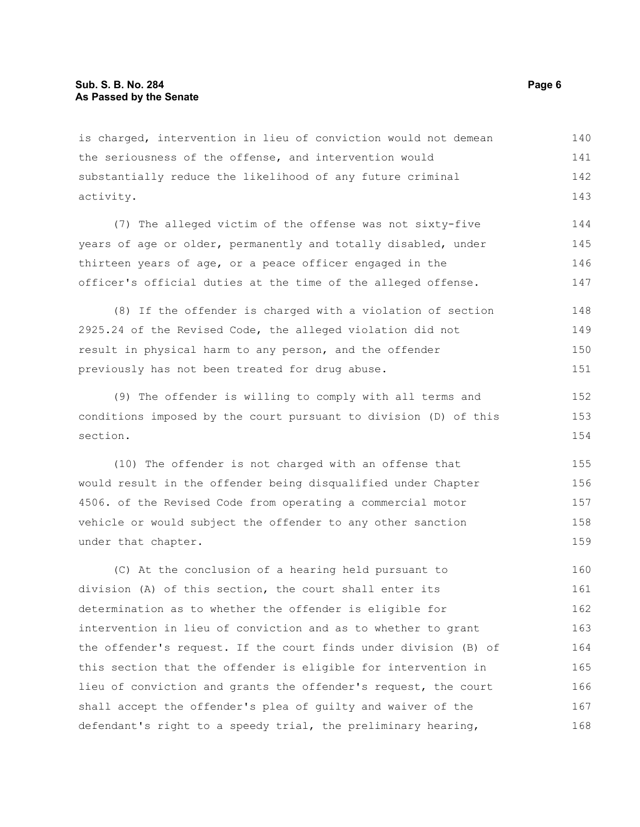is charged, intervention in lieu of conviction would not demean the seriousness of the offense, and intervention would substantially reduce the likelihood of any future criminal activity. 140 141 142 143

(7) The alleged victim of the offense was not sixty-five years of age or older, permanently and totally disabled, under thirteen years of age, or a peace officer engaged in the officer's official duties at the time of the alleged offense. 144 145 146 147

(8) If the offender is charged with a violation of section 2925.24 of the Revised Code, the alleged violation did not result in physical harm to any person, and the offender previously has not been treated for drug abuse. 148 149 150 151

(9) The offender is willing to comply with all terms and conditions imposed by the court pursuant to division (D) of this section. 152 153 154

(10) The offender is not charged with an offense that would result in the offender being disqualified under Chapter 4506. of the Revised Code from operating a commercial motor vehicle or would subject the offender to any other sanction under that chapter. 155 156 157 158 159

(C) At the conclusion of a hearing held pursuant to division (A) of this section, the court shall enter its determination as to whether the offender is eligible for intervention in lieu of conviction and as to whether to grant the offender's request. If the court finds under division (B) of this section that the offender is eligible for intervention in lieu of conviction and grants the offender's request, the court shall accept the offender's plea of guilty and waiver of the defendant's right to a speedy trial, the preliminary hearing, 160 161 162 163 164 165 166 167 168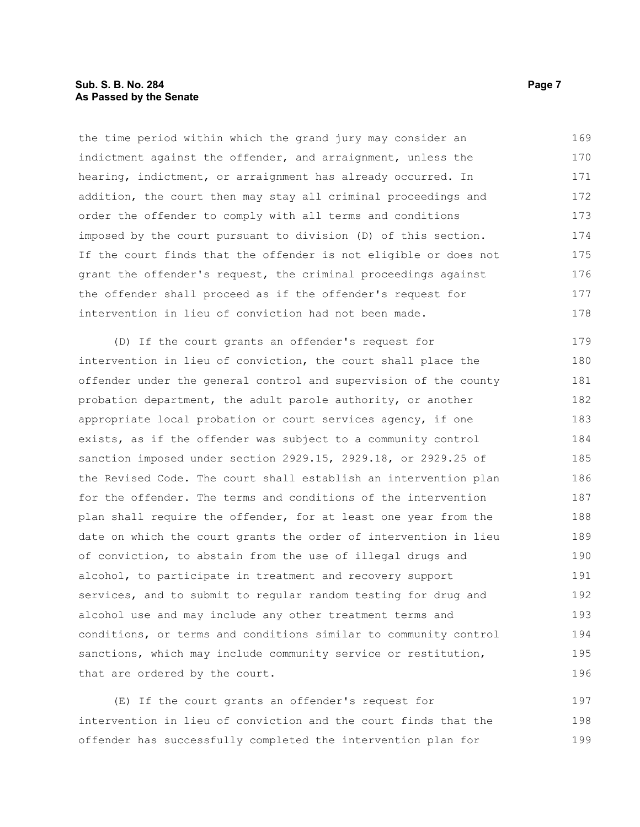#### **Sub. S. B. No. 284 Page 7 As Passed by the Senate**

the time period within which the grand jury may consider an indictment against the offender, and arraignment, unless the hearing, indictment, or arraignment has already occurred. In addition, the court then may stay all criminal proceedings and order the offender to comply with all terms and conditions imposed by the court pursuant to division (D) of this section. If the court finds that the offender is not eligible or does not grant the offender's request, the criminal proceedings against the offender shall proceed as if the offender's request for intervention in lieu of conviction had not been made. 169 170 171 172 173 174 175 176 177 178

(D) If the court grants an offender's request for intervention in lieu of conviction, the court shall place the offender under the general control and supervision of the county probation department, the adult parole authority, or another appropriate local probation or court services agency, if one exists, as if the offender was subject to a community control sanction imposed under section 2929.15, 2929.18, or 2929.25 of the Revised Code. The court shall establish an intervention plan for the offender. The terms and conditions of the intervention plan shall require the offender, for at least one year from the date on which the court grants the order of intervention in lieu of conviction, to abstain from the use of illegal drugs and alcohol, to participate in treatment and recovery support services, and to submit to regular random testing for drug and alcohol use and may include any other treatment terms and conditions, or terms and conditions similar to community control sanctions, which may include community service or restitution, that are ordered by the court. 179 180 181 182 183 184 185 186 187 188 189 190 191 192 193 194 195 196

(E) If the court grants an offender's request for intervention in lieu of conviction and the court finds that the offender has successfully completed the intervention plan for 197 198 199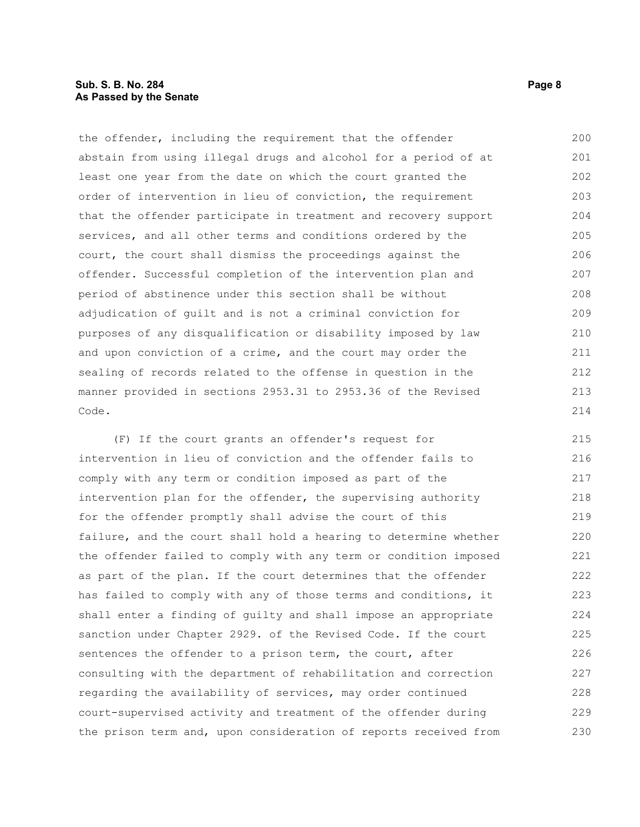#### **Sub. S. B. No. 284 Page 8 As Passed by the Senate**

the offender, including the requirement that the offender abstain from using illegal drugs and alcohol for a period of at least one year from the date on which the court granted the order of intervention in lieu of conviction, the requirement that the offender participate in treatment and recovery support services, and all other terms and conditions ordered by the court, the court shall dismiss the proceedings against the offender. Successful completion of the intervention plan and period of abstinence under this section shall be without adjudication of guilt and is not a criminal conviction for purposes of any disqualification or disability imposed by law and upon conviction of a crime, and the court may order the sealing of records related to the offense in question in the manner provided in sections 2953.31 to 2953.36 of the Revised Code. 200 201 202 203 204 205 206 207 208 209 210 211 212 213 214

(F) If the court grants an offender's request for intervention in lieu of conviction and the offender fails to comply with any term or condition imposed as part of the intervention plan for the offender, the supervising authority for the offender promptly shall advise the court of this failure, and the court shall hold a hearing to determine whether the offender failed to comply with any term or condition imposed as part of the plan. If the court determines that the offender has failed to comply with any of those terms and conditions, it shall enter a finding of guilty and shall impose an appropriate sanction under Chapter 2929. of the Revised Code. If the court sentences the offender to a prison term, the court, after consulting with the department of rehabilitation and correction regarding the availability of services, may order continued court-supervised activity and treatment of the offender during the prison term and, upon consideration of reports received from 215 216 217 218 219 220 221 222 223 224 225 226 227 228 229 230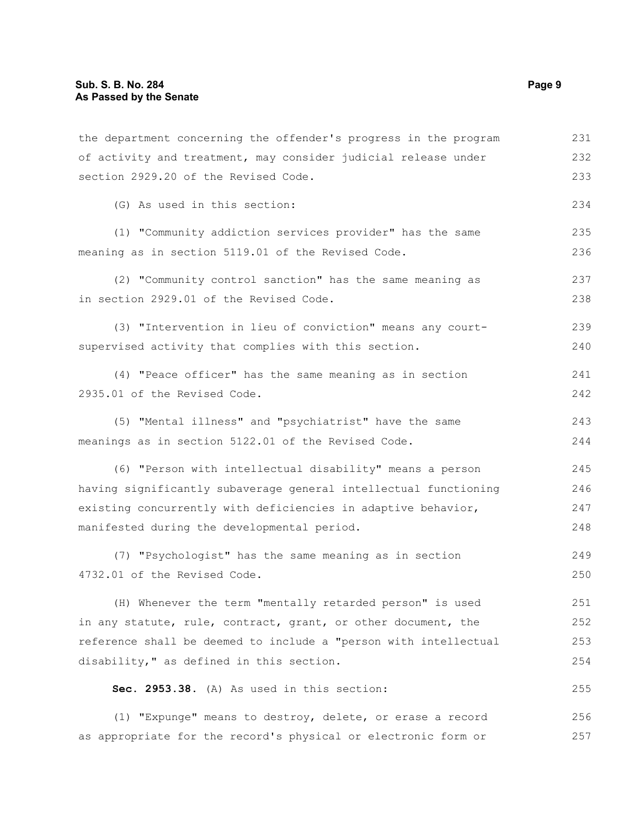| the department concerning the offender's progress in the program | 231 |
|------------------------------------------------------------------|-----|
| of activity and treatment, may consider judicial release under   | 232 |
| section 2929.20 of the Revised Code.                             | 233 |
| (G) As used in this section:                                     | 234 |
| (1) "Community addiction services provider" has the same         | 235 |
| meaning as in section 5119.01 of the Revised Code.               | 236 |
| (2) "Community control sanction" has the same meaning as         | 237 |
| in section 2929.01 of the Revised Code.                          | 238 |
| (3) "Intervention in lieu of conviction" means any court-        | 239 |
| supervised activity that complies with this section.             | 240 |
| (4) "Peace officer" has the same meaning as in section           | 241 |
| 2935.01 of the Revised Code.                                     | 242 |
| (5) "Mental illness" and "psychiatrist" have the same            | 243 |
| meanings as in section 5122.01 of the Revised Code.              | 244 |
| (6) "Person with intellectual disability" means a person         | 245 |
| having significantly subaverage general intellectual functioning | 246 |
| existing concurrently with deficiencies in adaptive behavior,    | 247 |
| manifested during the developmental period.                      | 248 |
| (7) "Psychologist" has the same meaning as in section            | 249 |
| 4732.01 of the Revised Code.                                     | 250 |
| (H) Whenever the term "mentally retarded person" is used         | 251 |
| in any statute, rule, contract, grant, or other document, the    | 252 |
| reference shall be deemed to include a "person with intellectual | 253 |
| disability," as defined in this section.                         | 254 |
| Sec. 2953.38. (A) As used in this section:                       | 255 |
| (1) "Expunge" means to destroy, delete, or erase a record        | 256 |
| as appropriate for the record's physical or electronic form or   | 257 |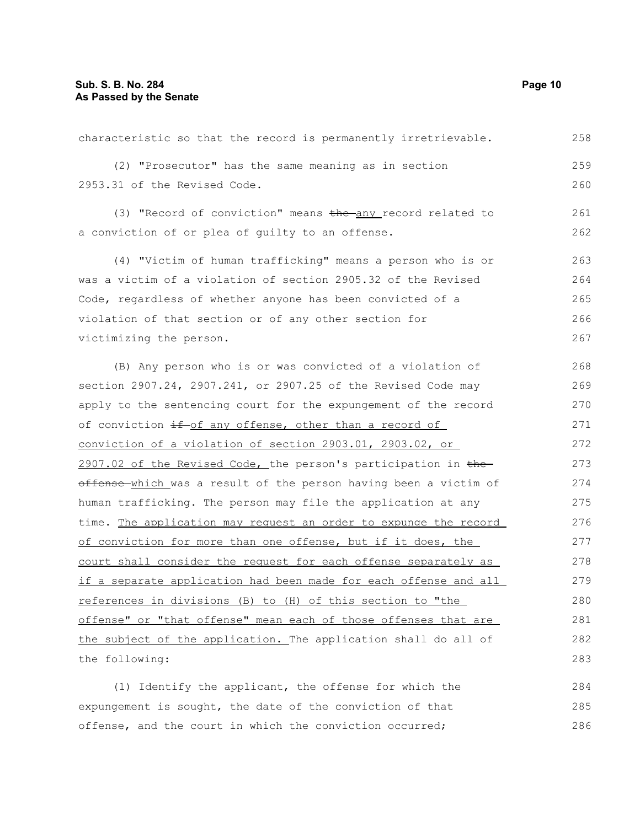| characteristic so that the record is permanently irretrievable.  | 258 |
|------------------------------------------------------------------|-----|
| (2) "Prosecutor" has the same meaning as in section              | 259 |
| 2953.31 of the Revised Code.                                     | 260 |
| (3) "Record of conviction" means the any record related to       | 261 |
| a conviction of or plea of guilty to an offense.                 | 262 |
| (4) "Victim of human trafficking" means a person who is or       | 263 |
| was a victim of a violation of section 2905.32 of the Revised    | 264 |
| Code, regardless of whether anyone has been convicted of a       | 265 |
| violation of that section or of any other section for            | 266 |
| victimizing the person.                                          | 267 |
| (B) Any person who is or was convicted of a violation of         | 268 |
| section 2907.24, 2907.241, or 2907.25 of the Revised Code may    | 269 |
| apply to the sentencing court for the expungement of the record  | 270 |
| of conviction if of any offense, other than a record of          | 271 |
| conviction of a violation of section 2903.01, 2903.02, or        | 272 |
| 2907.02 of the Revised Code, the person's participation in the   | 273 |
| offense which was a result of the person having been a victim of | 274 |
| human trafficking. The person may file the application at any    | 275 |
| time. The application may request an order to expunge the record | 276 |
| of conviction for more than one offense, but if it does, the     | 277 |
| court shall consider the request for each offense separately as  | 278 |
| if a separate application had been made for each offense and all | 279 |
| references in divisions (B) to (H) of this section to "the       | 280 |
| offense" or "that offense" mean each of those offenses that are  | 281 |
| the subject of the application. The application shall do all of  | 282 |
| the following:                                                   | 283 |
| (1) Identify the applicant, the offense for which the            | 284 |
| expungement is sought, the date of the conviction of that        | 285 |
| offense, and the court in which the conviction occurred;         | 286 |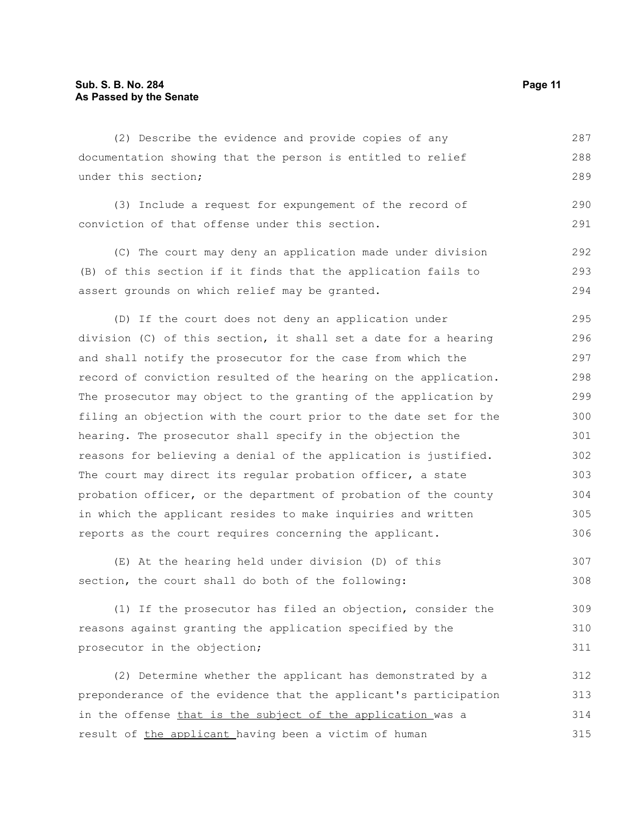(2) Describe the evidence and provide copies of any documentation showing that the person is entitled to relief under this section; (3) Include a request for expungement of the record of conviction of that offense under this section. (C) The court may deny an application made under division (B) of this section if it finds that the application fails to assert grounds on which relief may be granted. (D) If the court does not deny an application under division (C) of this section, it shall set a date for a hearing and shall notify the prosecutor for the case from which the record of conviction resulted of the hearing on the application. The prosecutor may object to the granting of the application by filing an objection with the court prior to the date set for the hearing. The prosecutor shall specify in the objection the reasons for believing a denial of the application is justified. The court may direct its regular probation officer, a state probation officer, or the department of probation of the county in which the applicant resides to make inquiries and written reports as the court requires concerning the applicant. (E) At the hearing held under division (D) of this 287 288 289 290 291 292 293 294 295 296 297 298 299 300 301 302 303 304 305 306 307

section, the court shall do both of the following: (1) If the prosecutor has filed an objection, consider the reasons against granting the application specified by the 308 309 310

prosecutor in the objection;

(2) Determine whether the applicant has demonstrated by a preponderance of the evidence that the applicant's participation in the offense that is the subject of the application was a result of the applicant having been a victim of human 312 313 314 315

311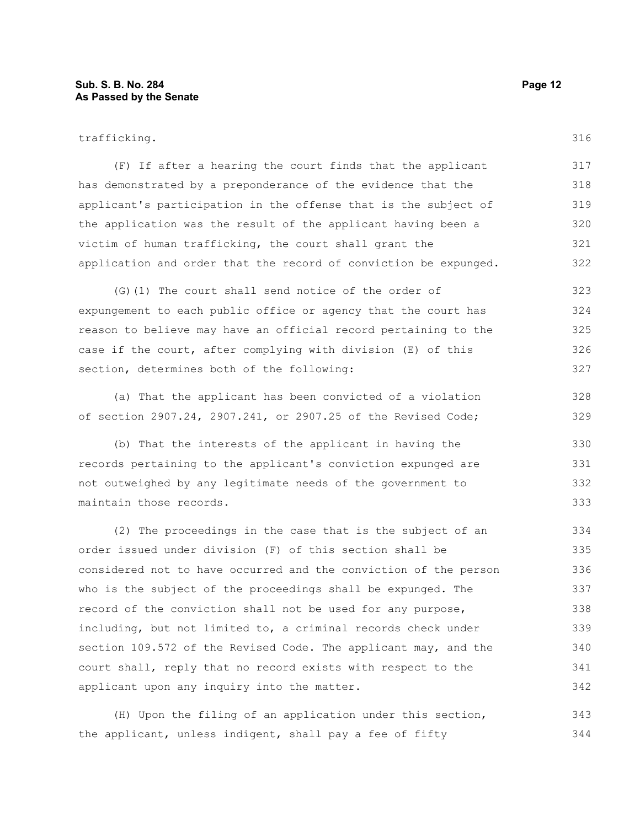#### trafficking.

316

328 329

| (F) If after a hearing the court finds that the applicant        | 317 |
|------------------------------------------------------------------|-----|
| has demonstrated by a preponderance of the evidence that the     | 318 |
| applicant's participation in the offense that is the subject of  | 319 |
| the application was the result of the applicant having been a    | 320 |
| victim of human trafficking, the court shall grant the           | 321 |
| application and order that the record of conviction be expunged. | 322 |

(G)(1) The court shall send notice of the order of expungement to each public office or agency that the court has reason to believe may have an official record pertaining to the case if the court, after complying with division (E) of this section, determines both of the following: 323 324 325 326 327

(a) That the applicant has been convicted of a violation of section 2907.24, 2907.241, or 2907.25 of the Revised Code;

(b) That the interests of the applicant in having the records pertaining to the applicant's conviction expunged are not outweighed by any legitimate needs of the government to maintain those records. 330 331 332 333

(2) The proceedings in the case that is the subject of an order issued under division (F) of this section shall be considered not to have occurred and the conviction of the person who is the subject of the proceedings shall be expunged. The record of the conviction shall not be used for any purpose, including, but not limited to, a criminal records check under section 109.572 of the Revised Code. The applicant may, and the court shall, reply that no record exists with respect to the applicant upon any inquiry into the matter. 334 335 336 337 338 339 340 341 342

(H) Upon the filing of an application under this section, the applicant, unless indigent, shall pay a fee of fifty 343 344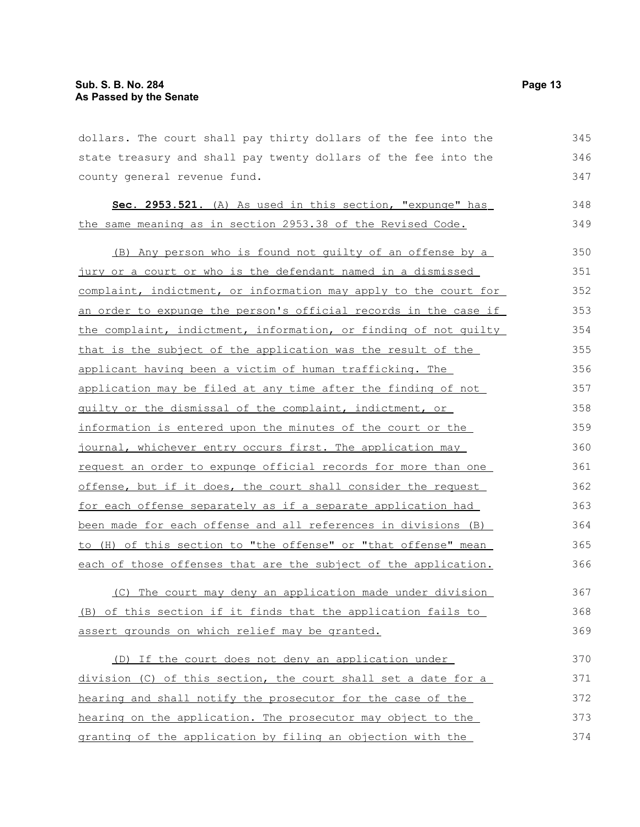dollars. The court shall pay thirty dollars of the fee into the state treasury and shall pay twenty dollars of the fee into the county general revenue fund. 345 346 347

|  |  |  |  | Sec. 2953.521. (A) As used in this section, "expunge" has   |  | 348 |
|--|--|--|--|-------------------------------------------------------------|--|-----|
|  |  |  |  | the same meaning as in section 2953.38 of the Revised Code. |  | 349 |

(B) Any person who is found not guilty of an offense by a jury or a court or who is the defendant named in a dismissed complaint, indictment, or information may apply to the court for an order to expunge the person's official records in the case if the complaint, indictment, information, or finding of not guilty that is the subject of the application was the result of the applicant having been a victim of human trafficking. The application may be filed at any time after the finding of not guilty or the dismissal of the complaint, indictment, or information is entered upon the minutes of the court or the journal, whichever entry occurs first. The application may request an order to expunge official records for more than one offense, but if it does, the court shall consider the request for each offense separately as if a separate application had been made for each offense and all references in divisions (B) to (H) of this section to "the offense" or "that offense" mean each of those offenses that are the subject of the application. 350 351 352 353 354 355 356 357 358 359 360 361 362 363 364 365 366

(C) The court may deny an application made under division (B) of this section if it finds that the application fails to assert grounds on which relief may be granted. 367 368 369

(D) If the court does not deny an application under division (C) of this section, the court shall set a date for a hearing and shall notify the prosecutor for the case of the hearing on the application. The prosecutor may object to the granting of the application by filing an objection with the 370 371 372 373 374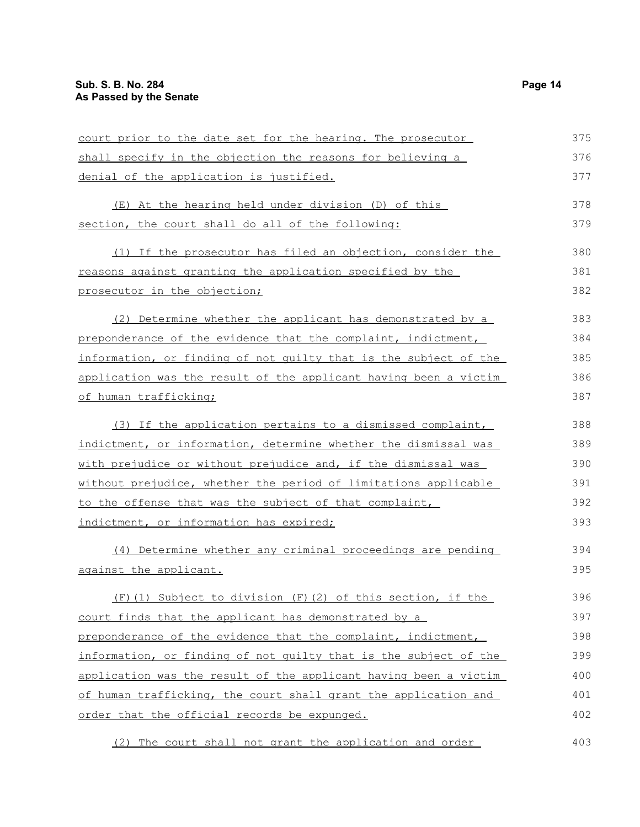| court prior to the date set for the hearing. The prosecutor      | 375 |
|------------------------------------------------------------------|-----|
| shall specify in the objection the reasons for believing a       | 376 |
| denial of the application is justified.                          | 377 |
| (E) At the hearing held under division (D) of this               | 378 |
| section, the court shall do all of the following:                | 379 |
| (1) If the prosecutor has filed an objection, consider the       | 380 |
| reasons against granting the application specified by the        | 381 |
| prosecutor in the objection;                                     | 382 |
| (2) Determine whether the applicant has demonstrated by a        | 383 |
| preponderance of the evidence that the complaint, indictment,    | 384 |
| information, or finding of not quilty that is the subject of the | 385 |
| application was the result of the applicant having been a victim | 386 |
| of human trafficking;                                            | 387 |
| (3) If the application pertains to a dismissed complaint,        | 388 |
| indictment, or information, determine whether the dismissal was  | 389 |
| with prejudice or without prejudice and, if the dismissal was    | 390 |
| without prejudice, whether the period of limitations applicable  | 391 |
| to the offense that was the subject of that complaint,           | 392 |
| indictment, or information has expired;                          | 393 |
| (4) Determine whether any criminal proceedings are pending       | 394 |
| <u>against the applicant.</u>                                    | 395 |
| (F)(1) Subject to division (F)(2) of this section, if the        | 396 |
| court finds that the applicant has demonstrated by a             | 397 |
| preponderance of the evidence that the complaint, indictment,    | 398 |
| information, or finding of not quilty that is the subject of the | 399 |
| application was the result of the applicant having been a victim | 400 |
| of human trafficking, the court shall grant the application and  | 401 |
| order that the official records be expunged.                     | 402 |
| (2) The court shall not grant the application and order          | 403 |